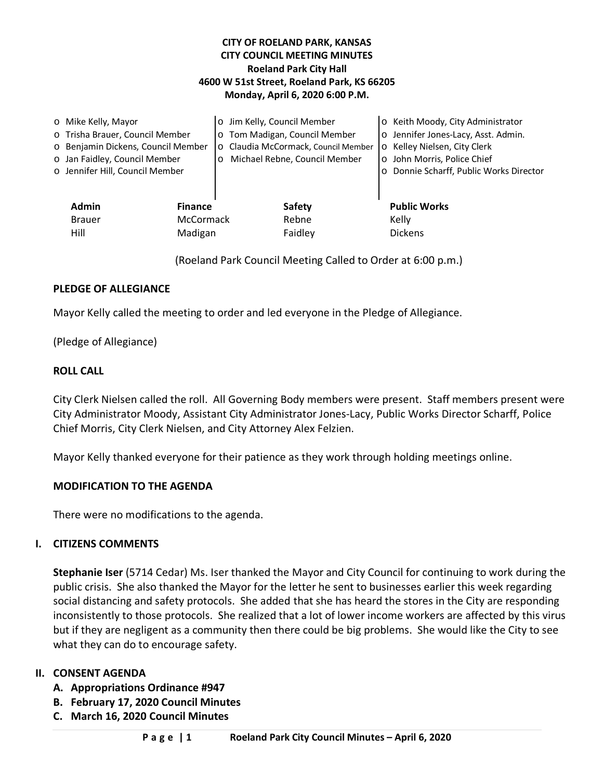### **CITY OF ROELAND PARK, KANSAS CITY COUNCIL MEETING MINUTES Roeland Park City Hall 4600 W 51st Street, Roeland Park, KS 66205 Monday, April 6, 2020 6:00 P.M.**

| o Mike Kelly, Mayor                                                                                                                       |                                               | o Jim Kelly, Council Member                                                                                      |                                   | ○ Keith Moody, City Administrator                                                                                                             |
|-------------------------------------------------------------------------------------------------------------------------------------------|-----------------------------------------------|------------------------------------------------------------------------------------------------------------------|-----------------------------------|-----------------------------------------------------------------------------------------------------------------------------------------------|
| o Trisha Brauer, Council Member<br>o Benjamin Dickens, Council Member<br>o Jan Faidley, Council Member<br>o Jennifer Hill, Council Member |                                               | o Tom Madigan, Council Member<br>o Claudia McCormack, Council Member<br>Michael Rebne, Council Member<br>$\circ$ |                                   | o Jennifer Jones-Lacy, Asst. Admin.<br>o Kelley Nielsen, City Clerk<br>o John Morris, Police Chief<br>o Donnie Scharff, Public Works Director |
| <b>Admin</b><br><b>Brauer</b><br>Hill                                                                                                     | <b>Finance</b><br><b>McCormack</b><br>Madigan |                                                                                                                  | <b>Safety</b><br>Rebne<br>Faidley | <b>Public Works</b><br>Kelly<br><b>Dickens</b>                                                                                                |

(Roeland Park Council Meeting Called to Order at 6:00 p.m.)

### **PLEDGE OF ALLEGIANCE**

Mayor Kelly called the meeting to order and led everyone in the Pledge of Allegiance.

(Pledge of Allegiance)

#### **ROLL CALL**

City Clerk Nielsen called the roll. All Governing Body members were present. Staff members present were City Administrator Moody, Assistant City Administrator Jones-Lacy, Public Works Director Scharff, Police Chief Morris, City Clerk Nielsen, and City Attorney Alex Felzien.

Mayor Kelly thanked everyone for their patience as they work through holding meetings online.

#### **MODIFICATION TO THE AGENDA**

There were no modifications to the agenda.

### **I. CITIZENS COMMENTS**

**Stephanie Iser** (5714 Cedar) Ms. Iser thanked the Mayor and City Council for continuing to work during the public crisis. She also thanked the Mayor for the letter he sent to businesses earlier this week regarding social distancing and safety protocols. She added that she has heard the stores in the City are responding inconsistently to those protocols. She realized that a lot of lower income workers are affected by this virus but if they are negligent as a community then there could be big problems. She would like the City to see what they can do to encourage safety.

### **II. CONSENT AGENDA**

- **A. Appropriations Ordinance #947**
- **B. February 17, 2020 Council Minutes**
- **C. March 16, 2020 Council Minutes**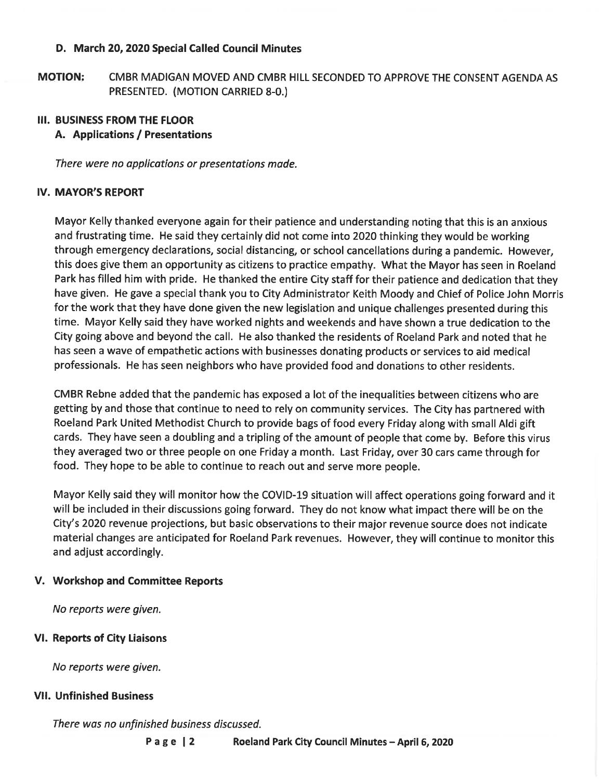### D. March 20, 2020 Special Called Council Minutes

**MOTION:** CMBR MADIGAN MOVED AND CMBR HILL SECONDED TO APPROVE THE CONSENT AGENDA AS PRESENTED. (MOTION CARRIED 8-0.)

# **III. BUSINESS FROM THE FLOOR**

## A. Applications / Presentations

There were no applications or presentations made.

## **IV. MAYOR'S REPORT**

Mayor Kelly thanked everyone again for their patience and understanding noting that this is an anxious and frustrating time. He said they certainly did not come into 2020 thinking they would be working through emergency declarations, social distancing, or school cancellations during a pandemic. However, this does give them an opportunity as citizens to practice empathy. What the Mayor has seen in Roeland Park has filled him with pride. He thanked the entire City staff for their patience and dedication that they have given. He gave a special thank you to City Administrator Keith Moody and Chief of Police John Morris for the work that they have done given the new legislation and unique challenges presented during this time. Mayor Kelly said they have worked nights and weekends and have shown a true dedication to the City going above and beyond the call. He also thanked the residents of Roeland Park and noted that he has seen a wave of empathetic actions with businesses donating products or services to aid medical professionals. He has seen neighbors who have provided food and donations to other residents.

CMBR Rebne added that the pandemic has exposed a lot of the inequalities between citizens who are getting by and those that continue to need to rely on community services. The City has partnered with Roeland Park United Methodist Church to provide bags of food every Friday along with small Aldi gift cards. They have seen a doubling and a tripling of the amount of people that come by. Before this virus they averaged two or three people on one Friday a month. Last Friday, over 30 cars came through for food. They hope to be able to continue to reach out and serve more people.

Mayor Kelly said they will monitor how the COVID-19 situation will affect operations going forward and it will be included in their discussions going forward. They do not know what impact there will be on the City's 2020 revenue projections, but basic observations to their major revenue source does not indicate material changes are anticipated for Roeland Park revenues. However, they will continue to monitor this and adjust accordingly.

### V. Workshop and Committee Reports

No reports were given.

# **VI. Reports of City Liaisons**

No reports were given.

### **VII. Unfinished Business**

There was no unfinished business discussed.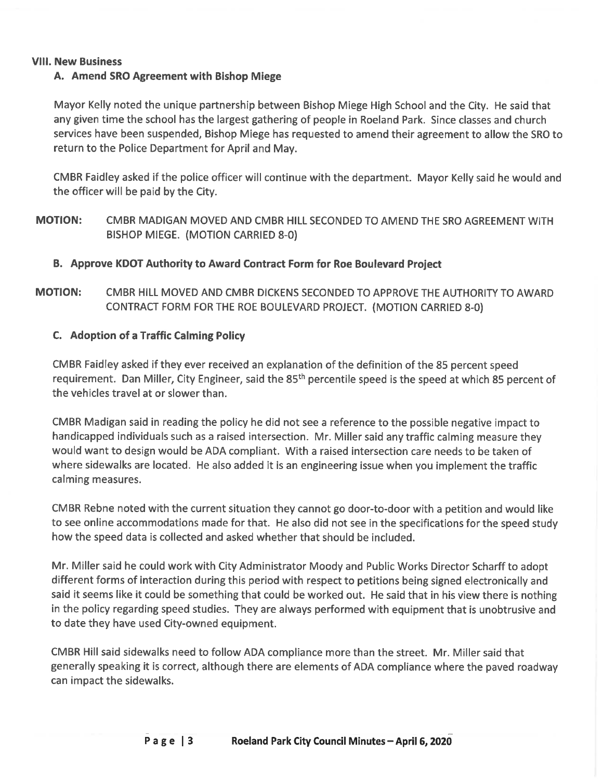#### **VIII. New Business**

## A. Amend SRO Agreement with Bishop Miege

Mayor Kelly noted the unique partnership between Bishop Miege High School and the City. He said that any given time the school has the largest gathering of people in Roeland Park. Since classes and church services have been suspended, Bishop Miege has requested to amend their agreement to allow the SRO to return to the Police Department for April and May.

CMBR Faidley asked if the police officer will continue with the department. Mayor Kelly said he would and the officer will be paid by the City.

**MOTION:** CMBR MADIGAN MOVED AND CMBR HILL SECONDED TO AMEND THE SRO AGREEMENT WITH BISHOP MIEGE. (MOTION CARRIED 8-0)

### B. Approve KDOT Authority to Award Contract Form for Roe Boulevard Project

**MOTION:** CMBR HILL MOVED AND CMBR DICKENS SECONDED TO APPROVE THE AUTHORITY TO AWARD CONTRACT FORM FOR THE ROE BOULEVARD PROJECT. (MOTION CARRIED 8-0)

### C. Adoption of a Traffic Calming Policy

CMBR Faidley asked if they ever received an explanation of the definition of the 85 percent speed requirement. Dan Miller, City Engineer, said the 85<sup>th</sup> percentile speed is the speed at which 85 percent of the vehicles travel at or slower than

CMBR Madigan said in reading the policy he did not see a reference to the possible negative impact to handicapped individuals such as a raised intersection. Mr. Miller said any traffic calming measure they would want to design would be ADA compliant. With a raised intersection care needs to be taken of where sidewalks are located. He also added it is an engineering issue when you implement the traffic calming measures.

CMBR Rebne noted with the current situation they cannot go door-to-door with a petition and would like to see online accommodations made for that. He also did not see in the specifications for the speed study how the speed data is collected and asked whether that should be included.

Mr. Miller said he could work with City Administrator Moody and Public Works Director Scharff to adopt different forms of interaction during this period with respect to petitions being signed electronically and said it seems like it could be something that could be worked out. He said that in his view there is nothing in the policy regarding speed studies. They are always performed with equipment that is unobtrusive and to date they have used City-owned equipment.

CMBR Hill said sidewalks need to follow ADA compliance more than the street. Mr. Miller said that generally speaking it is correct, although there are elements of ADA compliance where the paved roadway can impact the sidewalks.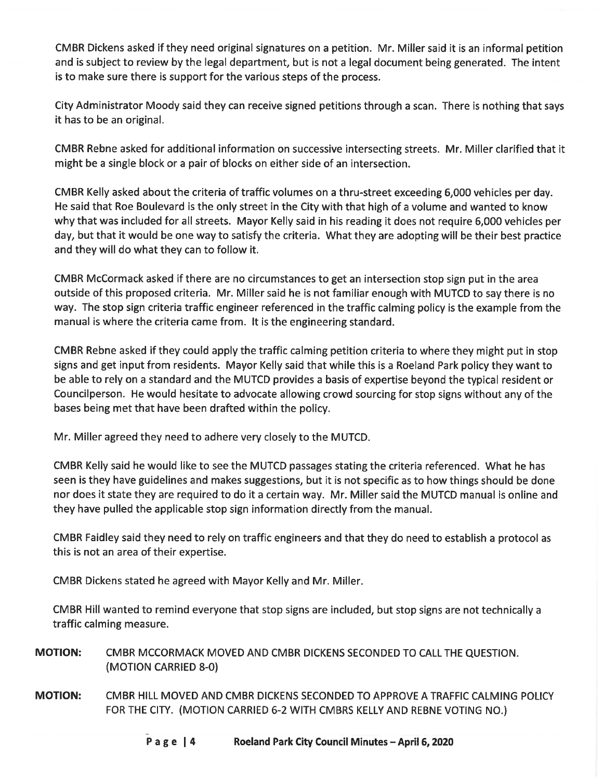CMBR Dickens asked if they need original signatures on a petition. Mr. Miller said it is an informal petition and is subject to review by the legal department, but is not a legal document being generated. The intent is to make sure there is support for the various steps of the process.

City Administrator Moody said they can receive signed petitions through a scan. There is nothing that says it has to be an original.

CMBR Rebne asked for additional information on successive intersecting streets. Mr. Miller clarified that it might be a single block or a pair of blocks on either side of an intersection.

CMBR Kelly asked about the criteria of traffic volumes on a thru-street exceeding 6,000 vehicles per day. He said that Roe Boulevard is the only street in the City with that high of a volume and wanted to know why that was included for all streets. Mayor Kelly said in his reading it does not require 6,000 vehicles per day, but that it would be one way to satisfy the criteria. What they are adopting will be their best practice and they will do what they can to follow it.

CMBR McCormack asked if there are no circumstances to get an intersection stop sign put in the area outside of this proposed criteria. Mr. Miller said he is not familiar enough with MUTCD to say there is no way. The stop sign criteria traffic engineer referenced in the traffic calming policy is the example from the manual is where the criteria came from. It is the engineering standard.

CMBR Rebne asked if they could apply the traffic calming petition criteria to where they might put in stop signs and get input from residents. Mayor Kelly said that while this is a Roeland Park policy they want to be able to rely on a standard and the MUTCD provides a basis of expertise beyond the typical resident or Councilperson. He would hesitate to advocate allowing crowd sourcing for stop signs without any of the bases being met that have been drafted within the policy.

Mr. Miller agreed they need to adhere very closely to the MUTCD.

CMBR Kelly said he would like to see the MUTCD passages stating the criteria referenced. What he has seen is they have guidelines and makes suggestions, but it is not specific as to how things should be done nor does it state they are required to do it a certain way. Mr. Miller said the MUTCD manual is online and they have pulled the applicable stop sign information directly from the manual.

CMBR Faidley said they need to rely on traffic engineers and that they do need to establish a protocol as this is not an area of their expertise.

CMBR Dickens stated he agreed with Mayor Kelly and Mr. Miller.

CMBR Hill wanted to remind everyone that stop signs are included, but stop signs are not technically a traffic calming measure.

- **MOTION:** CMBR MCCORMACK MOVED AND CMBR DICKENS SECONDED TO CALL THE QUESTION. (MOTION CARRIED 8-0)
- CMBR HILL MOVED AND CMBR DICKENS SECONDED TO APPROVE A TRAFFIC CALMING POLICY **MOTION:** FOR THE CITY. (MOTION CARRIED 6-2 WITH CMBRS KELLY AND REBNE VOTING NO.)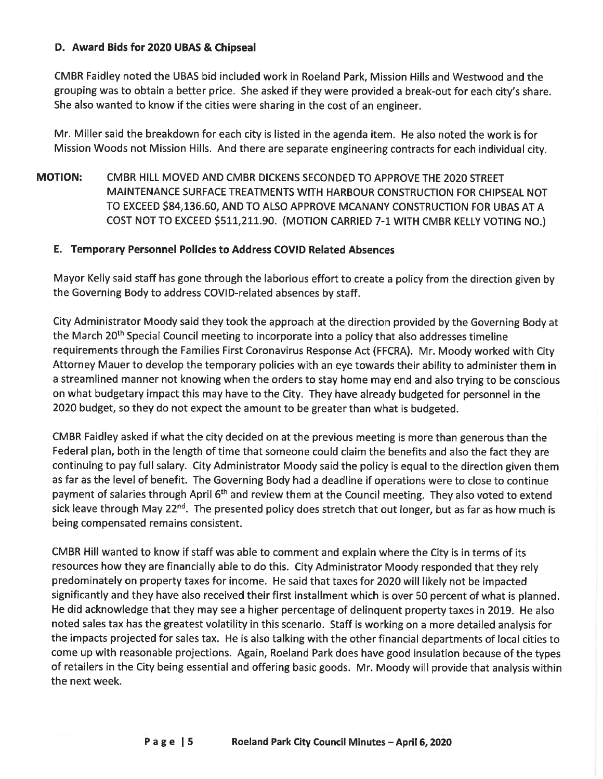### D. Award Bids for 2020 UBAS & Chipseal

CMBR Faidley noted the UBAS bid included work in Roeland Park, Mission Hills and Westwood and the grouping was to obtain a better price. She asked if they were provided a break-out for each city's share. She also wanted to know if the cities were sharing in the cost of an engineer.

Mr. Miller said the breakdown for each city is listed in the agenda item. He also noted the work is for Mission Woods not Mission Hills. And there are separate engineering contracts for each individual city.

**MOTION:** CMBR HILL MOVED AND CMBR DICKENS SECONDED TO APPROVE THE 2020 STREET MAINTENANCE SURFACE TREATMENTS WITH HARBOUR CONSTRUCTION FOR CHIPSEAL NOT TO EXCEED \$84,136.60, AND TO ALSO APPROVE MCANANY CONSTRUCTION FOR UBAS AT A COST NOT TO EXCEED \$511,211.90. (MOTION CARRIED 7-1 WITH CMBR KELLY VOTING NO.)

## E. Temporary Personnel Policies to Address COVID Related Absences

Mayor Kelly said staff has gone through the laborious effort to create a policy from the direction given by the Governing Body to address COVID-related absences by staff.

City Administrator Moody said they took the approach at the direction provided by the Governing Body at the March 20<sup>th</sup> Special Council meeting to incorporate into a policy that also addresses timeline requirements through the Families First Coronavirus Response Act (FFCRA). Mr. Moody worked with City Attorney Mauer to develop the temporary policies with an eye towards their ability to administer them in a streamlined manner not knowing when the orders to stay home may end and also trying to be conscious on what budgetary impact this may have to the City. They have already budgeted for personnel in the 2020 budget, so they do not expect the amount to be greater than what is budgeted.

CMBR Faidley asked if what the city decided on at the previous meeting is more than generous than the Federal plan, both in the length of time that someone could claim the benefits and also the fact they are continuing to pay full salary. City Administrator Moody said the policy is equal to the direction given them as far as the level of benefit. The Governing Body had a deadline if operations were to close to continue payment of salaries through April 6<sup>th</sup> and review them at the Council meeting. They also voted to extend sick leave through May 22<sup>nd</sup>. The presented policy does stretch that out longer, but as far as how much is being compensated remains consistent.

CMBR Hill wanted to know if staff was able to comment and explain where the City is in terms of its resources how they are financially able to do this. City Administrator Moody responded that they rely predominately on property taxes for income. He said that taxes for 2020 will likely not be impacted significantly and they have also received their first installment which is over 50 percent of what is planned. He did acknowledge that they may see a higher percentage of delinguent property taxes in 2019. He also noted sales tax has the greatest volatility in this scenario. Staff is working on a more detailed analysis for the impacts projected for sales tax. He is also talking with the other financial departments of local cities to come up with reasonable projections. Again, Roeland Park does have good insulation because of the types of retailers in the City being essential and offering basic goods. Mr. Moody will provide that analysis within the next week.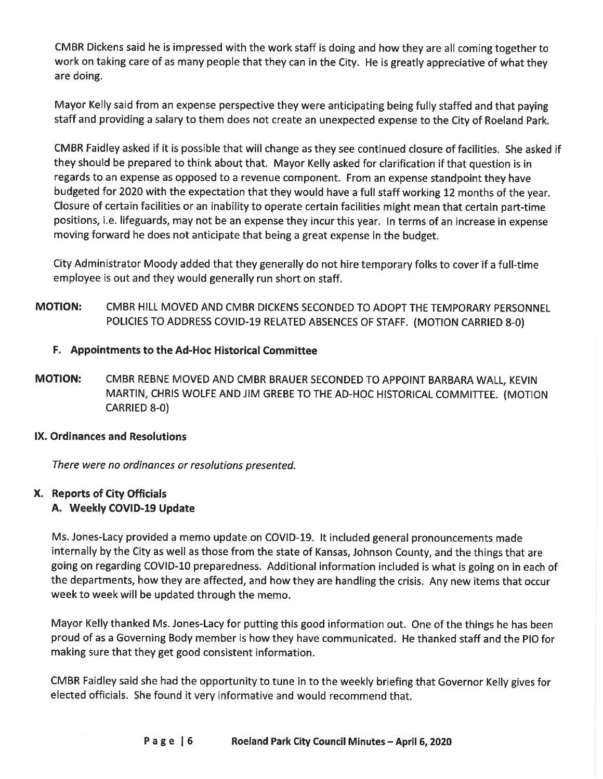CMBR Dickens said he is impressed with the work staff is doing and how they are all coming together to work on taking care of as many people that they can in the City. He is greatly appreciative of what they are doing.

Mayor Kelly said from an expense perspective they were anticipating being fully staffed and that paying staff and providing a salary to them does not create an unexpected expense to the City of Roeland Park.

CMBR Faidley asked if it is possible that will change as they see continued closure of facilities. She asked if they should be prepared to think about that. Mayor Kelly asked for clarification if that question is in regards to an expense as opposed to a revenue component. From an expense standpoint they have budgeted for 2020 with the expectation that they would have a full staff working 12 months of the year. Closure of certain facilities or an inability to operate certain facilities might mean that certain part-time positions, i.e. lifeguards, may not be an expense they incur this year. In terms of an increase in expense moving forward he does not anticipate that being a great expense in the budget.

City Administrator Moody added that they generally do not hire temporary folks to cover if a full-time employee is out and they would generally run short on staff.

**MOTION:** CMBR HILL MOVED AND CMBR DICKENS SECONDED TO ADOPT THE TEMPORARY PERSONNEL POLICIES TO ADDRESS COVID-19 RELATED ABSENCES OF STAFF. (MOTION CARRIED 8-0)

# F. Appointments to the Ad-Hoc Historical Committee

**MOTION:** CMBR REBNE MOVED AND CMBR BRAUER SECONDED TO APPOINT BARBARA WALL, KEVIN MARTIN, CHRIS WOLFE AND JIM GREBE TO THE AD-HOC HISTORICAL COMMITTEE. (MOTION **CARRIED 8-0)** 

# **IX. Ordinances and Resolutions**

There were no ordinances or resolutions presented.

# X. Reports of City Officials A. Weekly COVID-19 Update

Ms. Jones-Lacy provided a memo update on COVID-19. It included general pronouncements made internally by the City as well as those from the state of Kansas, Johnson County, and the things that are going on regarding COVID-10 preparedness. Additional information included is what is going on in each of the departments, how they are affected, and how they are handling the crisis. Any new items that occur week to week will be updated through the memo.

Mayor Kelly thanked Ms. Jones-Lacy for putting this good information out. One of the things he has been proud of as a Governing Body member is how they have communicated. He thanked staff and the PIO for making sure that they get good consistent information.

CMBR Faidley said she had the opportunity to tune in to the weekly briefing that Governor Kelly gives for elected officials. She found it very informative and would recommend that.